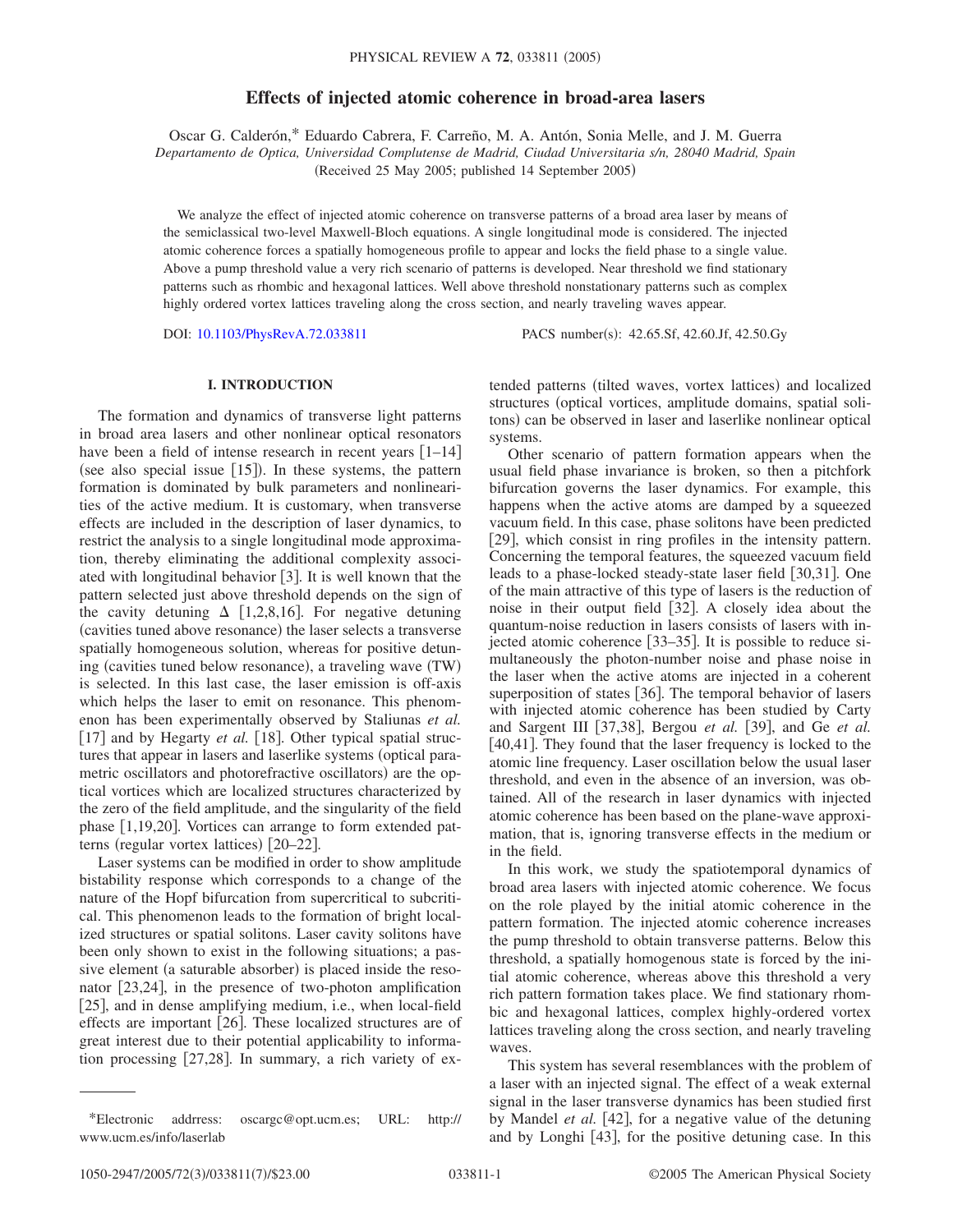# **Effects of injected atomic coherence in broad-area lasers**

Oscar G. Calderón,\* Eduardo Cabrera, F. Carreño, M. A. Antón, Sonia Melle, and J. M. Guerra

*Departamento de Optica, Universidad Complutense de Madrid, Ciudad Universitaria s/n, 28040 Madrid, Spain* (Received 25 May 2005; published 14 September 2005)

We analyze the effect of injected atomic coherence on transverse patterns of a broad area laser by means of the semiclassical two-level Maxwell-Bloch equations. A single longitudinal mode is considered. The injected atomic coherence forces a spatially homogeneous profile to appear and locks the field phase to a single value. Above a pump threshold value a very rich scenario of patterns is developed. Near threshold we find stationary patterns such as rhombic and hexagonal lattices. Well above threshold nonstationary patterns such as complex highly ordered vortex lattices traveling along the cross section, and nearly traveling waves appear.

DOI: [10.1103/PhysRevA.72.033811](http://dx.doi.org/10.1103/PhysRevA.72.033811)

PACS number(s): 42.65.Sf, 42.60.Jf, 42.50.Gy

### **I. INTRODUCTION**

The formation and dynamics of transverse light patterns in broad area lasers and other nonlinear optical resonators have been a field of intense research in recent years  $\lceil 1-14 \rceil$ (see also special issue [15]). In these systems, the pattern formation is dominated by bulk parameters and nonlinearities of the active medium. It is customary, when transverse effects are included in the description of laser dynamics, to restrict the analysis to a single longitudinal mode approximation, thereby eliminating the additional complexity associated with longitudinal behavior  $\lceil 3 \rceil$ . It is well known that the pattern selected just above threshold depends on the sign of the cavity detuning  $\Delta$  [1,2,8,16]. For negative detuning (cavities tuned above resonance) the laser selects a transverse spatially homogeneous solution, whereas for positive detuning (cavities tuned below resonance), a traveling wave (TW) is selected. In this last case, the laser emission is off-axis which helps the laser to emit on resonance. This phenomenon has been experimentally observed by Staliunas *et al.* [17] and by Hegarty *et al.* [18]. Other typical spatial structures that appear in lasers and laserlike systems (optical parametric oscillators and photorefractive oscillators) are the optical vortices which are localized structures characterized by the zero of the field amplitude, and the singularity of the field phase  $[1,19,20]$ . Vortices can arrange to form extended patterns (regular vortex lattices) [20–22].

Laser systems can be modified in order to show amplitude bistability response which corresponds to a change of the nature of the Hopf bifurcation from supercritical to subcritical. This phenomenon leads to the formation of bright localized structures or spatial solitons. Laser cavity solitons have been only shown to exist in the following situations; a passive element (a saturable absorber) is placed inside the resonator [23,24], in the presence of two-photon amplification [25], and in dense amplifying medium, i.e., when local-field effects are important  $[26]$ . These localized structures are of great interest due to their potential applicability to information processing  $[27,28]$ . In summary, a rich variety of extended patterns (tilted waves, vortex lattices) and localized structures (optical vortices, amplitude domains, spatial solitons) can be observed in laser and laserlike nonlinear optical systems.

Other scenario of pattern formation appears when the usual field phase invariance is broken, so then a pitchfork bifurcation governs the laser dynamics. For example, this happens when the active atoms are damped by a squeezed vacuum field. In this case, phase solitons have been predicted [29], which consist in ring profiles in the intensity pattern. Concerning the temporal features, the squeezed vacuum field leads to a phase-locked steady-state laser field [30,31]. One of the main attractive of this type of lasers is the reduction of noise in their output field [32]. A closely idea about the quantum-noise reduction in lasers consists of lasers with injected atomic coherence [33–35]. It is possible to reduce simultaneously the photon-number noise and phase noise in the laser when the active atoms are injected in a coherent superposition of states  $[36]$ . The temporal behavior of lasers with injected atomic coherence has been studied by Carty and Sargent III [37,38], Bergou et al. [39], and Ge et al.  $[40,41]$ . They found that the laser frequency is locked to the atomic line frequency. Laser oscillation below the usual laser threshold, and even in the absence of an inversion, was obtained. All of the research in laser dynamics with injected atomic coherence has been based on the plane-wave approximation, that is, ignoring transverse effects in the medium or in the field.

In this work, we study the spatiotemporal dynamics of broad area lasers with injected atomic coherence. We focus on the role played by the initial atomic coherence in the pattern formation. The injected atomic coherence increases the pump threshold to obtain transverse patterns. Below this threshold, a spatially homogenous state is forced by the initial atomic coherence, whereas above this threshold a very rich pattern formation takes place. We find stationary rhombic and hexagonal lattices, complex highly-ordered vortex lattices traveling along the cross section, and nearly traveling waves.

This system has several resemblances with the problem of a laser with an injected signal. The effect of a weak external signal in the laser transverse dynamics has been studied first by Mandel *et al.* [42], for a negative value of the detuning and by Longhi [43], for the positive detuning case. In this

<sup>\*</sup>Electronic addrress: oscargc@opt.ucm.es; URL: http:// www.ucm.es/info/laserlab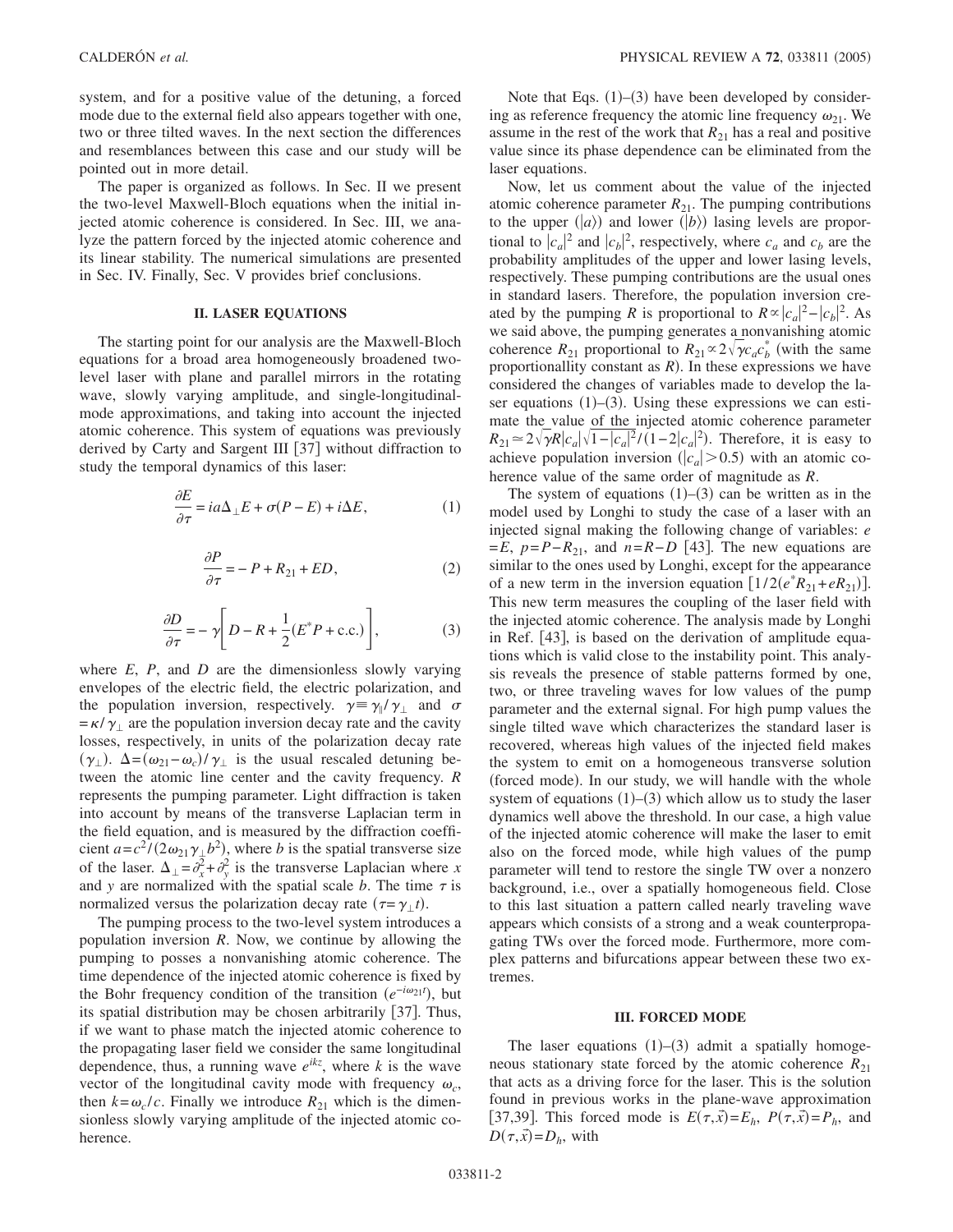system, and for a positive value of the detuning, a forced mode due to the external field also appears together with one, two or three tilted waves. In the next section the differences and resemblances between this case and our study will be pointed out in more detail.

The paper is organized as follows. In Sec. II we present the two-level Maxwell-Bloch equations when the initial injected atomic coherence is considered. In Sec. III, we analyze the pattern forced by the injected atomic coherence and its linear stability. The numerical simulations are presented in Sec. IV. Finally, Sec. V provides brief conclusions.

# **II. LASER EQUATIONS**

The starting point for our analysis are the Maxwell-Bloch equations for a broad area homogeneously broadened twolevel laser with plane and parallel mirrors in the rotating wave, slowly varying amplitude, and single-longitudinalmode approximations, and taking into account the injected atomic coherence. This system of equations was previously derived by Carty and Sargent III [37] without diffraction to study the temporal dynamics of this laser:

$$
\frac{\partial E}{\partial \tau} = ia\Delta_{\perp} E + \sigma (P - E) + i\Delta E, \qquad (1)
$$

$$
\frac{\partial P}{\partial \tau} = -P + R_{21} + ED,\tag{2}
$$

$$
\frac{\partial D}{\partial \tau} = -\gamma \left[ D - R + \frac{1}{2} (E^* P + \text{c.c.}) \right],\tag{3}
$$

where *E*, *P*, and *D* are the dimensionless slowly varying envelopes of the electric field, the electric polarization, and the population inversion, respectively.  $\gamma = \gamma_0 / \gamma_1$  and  $\sigma$  $=\kappa/\gamma_{\perp}$  are the population inversion decay rate and the cavity losses, respectively, in units of the polarization decay rate  $(\gamma_{\perp})$ .  $\Delta = (\omega_{21} - \omega_c)/\gamma_{\perp}$  is the usual rescaled detuning between the atomic line center and the cavity frequency. *R* represents the pumping parameter. Light diffraction is taken into account by means of the transverse Laplacian term in the field equation, and is measured by the diffraction coefficient  $a = c^2/(2\omega_{21}\gamma_{\perp}b^2)$ , where *b* is the spatial transverse size of the laser.  $\Delta_{\perp} = \partial_x^2 + \partial_y^2$  is the transverse Laplacian where *x* and *y* are normalized with the spatial scale *b*. The time  $\tau$  is normalized versus the polarization decay rate  $(\tau = \gamma_{\perp} t)$ .

The pumping process to the two-level system introduces a population inversion *R*. Now, we continue by allowing the pumping to posses a nonvanishing atomic coherence. The time dependence of the injected atomic coherence is fixed by the Bohr frequency condition of the transition  $(e^{-i\omega_{21}t})$ , but its spatial distribution may be chosen arbitrarily  $\lceil 37 \rceil$ . Thus, if we want to phase match the injected atomic coherence to the propagating laser field we consider the same longitudinal dependence, thus, a running wave  $e^{ikz}$ , where *k* is the wave vector of the longitudinal cavity mode with frequency  $\omega_c$ , then  $k = \omega_c / c$ . Finally we introduce  $R_{21}$  which is the dimensionless slowly varying amplitude of the injected atomic coherence.

Note that Eqs.  $(1)$ – $(3)$  have been developed by considering as reference frequency the atomic line frequency  $\omega_{21}$ . We assume in the rest of the work that  $R_{21}$  has a real and positive value since its phase dependence can be eliminated from the laser equations.

Now, let us comment about the value of the injected atomic coherence parameter  $R_{21}$ . The pumping contributions to the upper  $\langle |a\rangle$  and lower  $\langle |b\rangle$  lasing levels are proportional to  $|c_a|^2$  and  $|c_b|^2$ , respectively, where  $c_a$  and  $c_b$  are the probability amplitudes of the upper and lower lasing levels, respectively. These pumping contributions are the usual ones in standard lasers. Therefore, the population inversion created by the pumping *R* is proportional to  $R \propto |c_a|^2 - |c_b|^2$ . As we said above, the pumping generates a nonvanishing atomic coherence  $R_{21}$  proportional to  $R_{21} \propto 2\sqrt{\gamma c_a c_b^*}$  (with the same proportionallity constant as  $R$ ). In these expressions we have considered the changes of variables made to develop the laser equations  $(1)$ – $(3)$ . Using these expressions we can estimate the value of the injected atomic coherence parameter  $R_{21} \approx 2\sqrt{\gamma}R|c_a|\sqrt{1-|c_a|^2}/(1-2|c_a|^2)$ . Therefore, it is easy to achieve population inversion  $\left(\frac{|c_a|}{\geq}0.5\right)$  with an atomic coherence value of the same order of magnitude as *R*.

The system of equations  $(1)$ – $(3)$  can be written as in the model used by Longhi to study the case of a laser with an injected signal making the following change of variables: *e*  $=E$ ,  $p = P - R_{21}$ , and  $n = R - D$  [43]. The new equations are similar to the ones used by Longhi, except for the appearance of a new term in the inversion equation  $[1/2(e^*R_{21}+eR_{21})]$ . This new term measures the coupling of the laser field with the injected atomic coherence. The analysis made by Longhi in Ref. [43], is based on the derivation of amplitude equations which is valid close to the instability point. This analysis reveals the presence of stable patterns formed by one, two, or three traveling waves for low values of the pump parameter and the external signal. For high pump values the single tilted wave which characterizes the standard laser is recovered, whereas high values of the injected field makes the system to emit on a homogeneous transverse solution (forced mode). In our study, we will handle with the whole system of equations  $(1)$ – $(3)$  which allow us to study the laser dynamics well above the threshold. In our case, a high value of the injected atomic coherence will make the laser to emit also on the forced mode, while high values of the pump parameter will tend to restore the single TW over a nonzero background, i.e., over a spatially homogeneous field. Close to this last situation a pattern called nearly traveling wave appears which consists of a strong and a weak counterpropagating TWs over the forced mode. Furthermore, more complex patterns and bifurcations appear between these two extremes.

#### **III. FORCED MODE**

The laser equations  $(1)$ - $(3)$  admit a spatially homogeneous stationary state forced by the atomic coherence  $R_{21}$ that acts as a driving force for the laser. This is the solution found in previous works in the plane-wave approximation [37,39]. This forced mode is  $E(\tau, \vec{x}) = E_h$ ,  $P(\tau, \vec{x}) = P_h$ , and  $D(\tau,\vec{x}) = D_h$ , with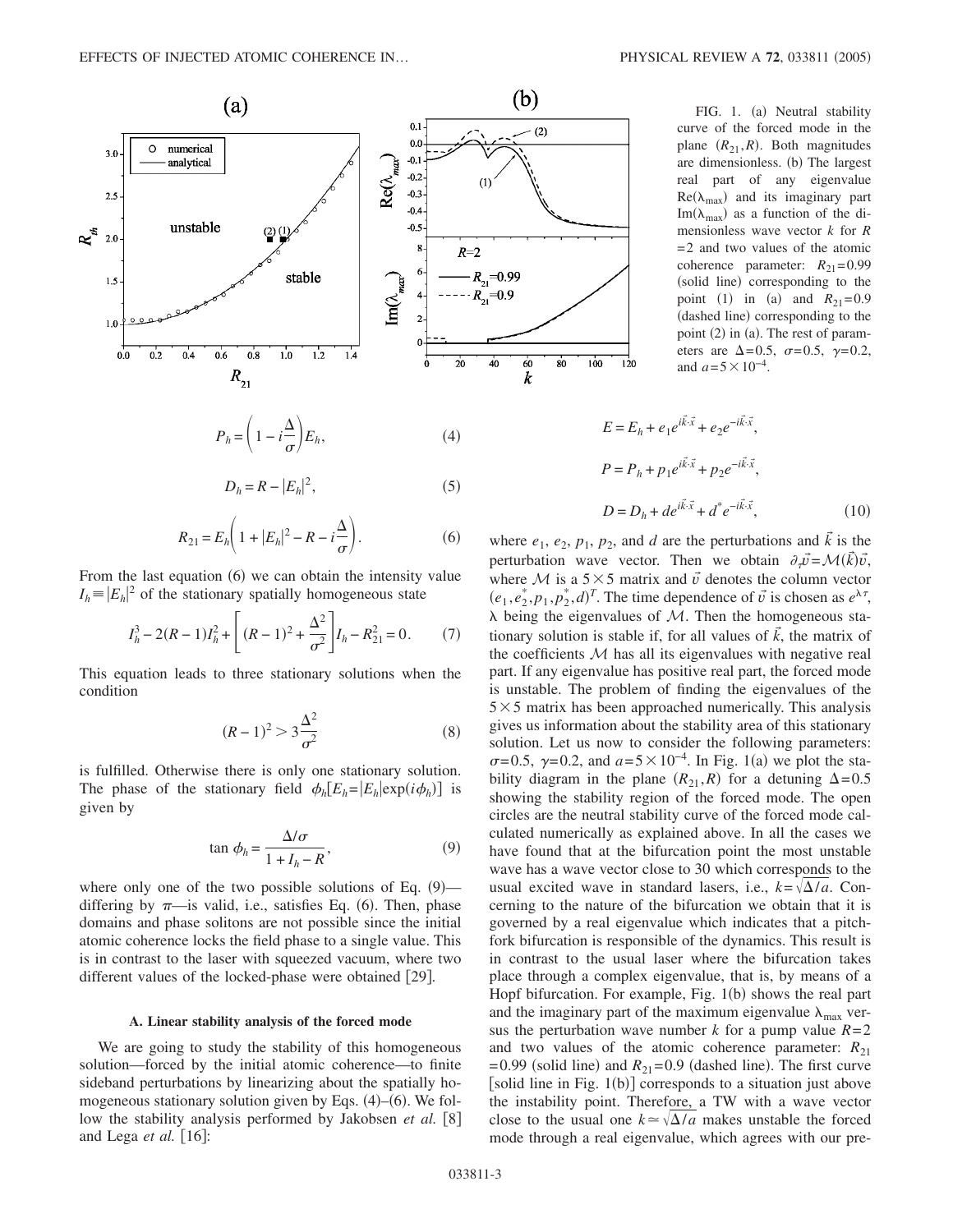

$$
P_h = \left(1 - i\frac{\Delta}{\sigma}\right) E_h,\tag{4}
$$

$$
D_h = R - |E_h|^2,\tag{5}
$$

$$
R_{21} = E_h \bigg( 1 + |E_h|^2 - R - i \frac{\Delta}{\sigma} \bigg). \tag{6}
$$

From the last equation (6) we can obtain the intensity value  $I_h = |E_h|^2$  of the stationary spatially homogeneous state

$$
I_h^3 - 2(R - 1)I_h^2 + \left[ (R - 1)^2 + \frac{\Delta^2}{\sigma^2} \right] I_h - R_{21}^2 = 0. \tag{7}
$$

This equation leads to three stationary solutions when the condition

$$
(R-1)^2 > 3\frac{\Delta^2}{\sigma^2}
$$
 (8)

is fulfilled. Otherwise there is only one stationary solution. The phase of the stationary field  $\phi_h[E_h=|E_h|\exp(i\phi_h)]$  is given by

$$
\tan \phi_h = \frac{\Delta/\sigma}{1 + I_h - R},\tag{9}
$$

where only one of the two possible solutions of Eq.  $(9)$  differing by  $\pi$ —is valid, i.e., satisfies Eq. (6). Then, phase domains and phase solitons are not possible since the initial atomic coherence locks the field phase to a single value. This is in contrast to the laser with squeezed vacuum, where two different values of the locked-phase were obtained [29].

### **A. Linear stability analysis of the forced mode**

We are going to study the stability of this homogeneous solution—forced by the initial atomic coherence—to finite sideband perturbations by linearizing about the spatially homogeneous stationary solution given by Eqs.  $(4)$ – $(6)$ . We follow the stability analysis performed by Jakobsen *et al.* [8] and Lega *et al.* [16]:

FIG. 1. (a) Neutral stability curve of the forced mode in the plane  $(R_{21}, R)$ . Both magnitudes are dimensionless. (b) The largest real part of any eigenvalue  $Re(\lambda_{\text{max}})$  and its imaginary part Im( $\lambda_{\text{max}}$ ) as a function of the dimensionless wave vector *k* for *R* =2 and two values of the atomic coherence parameter:  $R_{21} = 0.99$ (solid line) corresponding to the point (1) in (a) and  $R_{21}=0.9$ (dashed line) corresponding to the point (2) in (a). The rest of parameters are  $\Delta=0.5$ ,  $\sigma=0.5$ ,  $\gamma=0.2$ , and  $a=5\times10^{-4}$ .

$$
E = E_h + e_1 e^{i\vec{k}\cdot\vec{x}} + e_2 e^{-i\vec{k}\cdot\vec{x}},
$$
  
\n
$$
P = P_h + p_1 e^{i\vec{k}\cdot\vec{x}} + p_2 e^{-i\vec{k}\cdot\vec{x}},
$$
  
\n
$$
D = D_h + de^{i\vec{k}\cdot\vec{x}} + d^* e^{-i\vec{k}\cdot\vec{x}},
$$
\n(10)

where  $e_1$ ,  $e_2$ ,  $p_1$ ,  $p_2$ , and *d* are the perturbations and *k* is the perturbation wave vector. Then we obtain  $\partial_{\tau} \vec{v} = \mathcal{M}(\vec{k})\vec{v}$ , where  $M$  is a 5  $\times$  5 matrix and  $\vec{v}$  denotes the column vector  $(e_1, e_2^*, p_1, p_2^*, d)^T$ . The time dependence of  $\vec{v}$  is chosen as  $e^{\lambda \tau}$ ,  $\lambda$  being the eigenvalues of M. Then the homogeneous stationary solution is stable if, for all values of  $\vec{k}$ , the matrix of the coefficients  $M$  has all its eigenvalues with negative real part. If any eigenvalue has positive real part, the forced mode is unstable. The problem of finding the eigenvalues of the  $5 \times 5$  matrix has been approached numerically. This analysis gives us information about the stability area of this stationary solution. Let us now to consider the following parameters:  $\sigma$ =0.5,  $\gamma$ =0.2, and  $a=5\times10^{-4}$ . In Fig. 1(a) we plot the stability diagram in the plane  $(R_{21}, R)$  for a detuning  $\Delta = 0.5$ showing the stability region of the forced mode. The open circles are the neutral stability curve of the forced mode calculated numerically as explained above. In all the cases we have found that at the bifurcation point the most unstable wave has a wave vector close to 30 which corresponds to the usual excited wave in standard lasers, i.e.,  $k = \sqrt{\Delta/a}$ . Concerning to the nature of the bifurcation we obtain that it is governed by a real eigenvalue which indicates that a pitchfork bifurcation is responsible of the dynamics. This result is in contrast to the usual laser where the bifurcation takes place through a complex eigenvalue, that is, by means of a Hopf bifurcation. For example, Fig. 1(b) shows the real part and the imaginary part of the maximum eigenvalue  $\lambda_{\text{max}}$  versus the perturbation wave number  $k$  for a pump value  $R=2$ and two values of the atomic coherence parameter:  $R_{21}$  $= 0.99$  (solid line) and  $R_{21} = 0.9$  (dashed line). The first curve [solid line in Fig. 1(b)] corresponds to a situation just above the instability point. Therefore, a TW with a wave vector close to the usual one  $k \approx \sqrt{\Delta/a}$  makes unstable the forced mode through a real eigenvalue, which agrees with our pre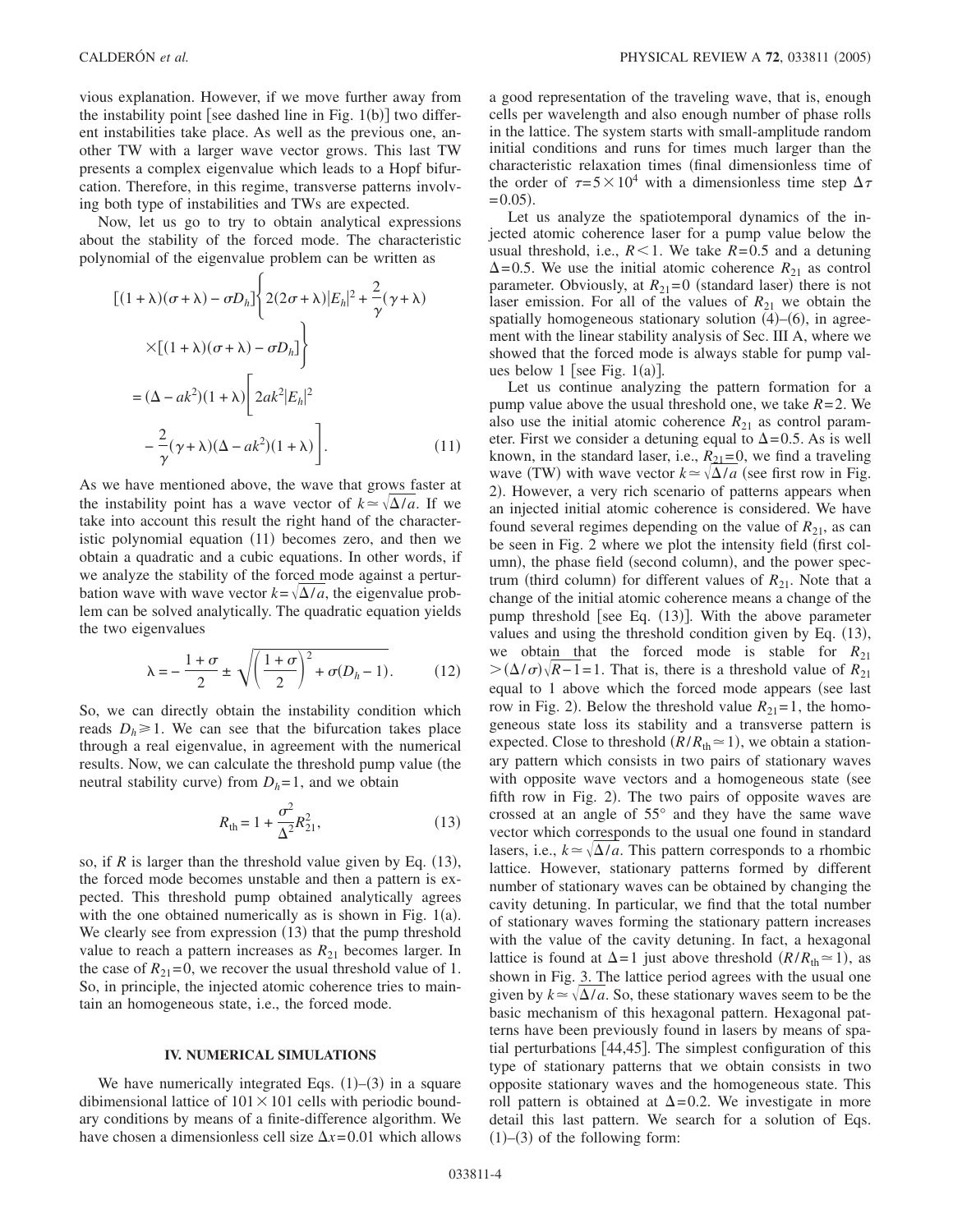vious explanation. However, if we move further away from the instability point [see dashed line in Fig.  $1(b)$ ] two different instabilities take place. As well as the previous one, another TW with a larger wave vector grows. This last TW presents a complex eigenvalue which leads to a Hopf bifurcation. Therefore, in this regime, transverse patterns involving both type of instabilities and TWs are expected.

Now, let us go to try to obtain analytical expressions about the stability of the forced mode. The characteristic polynomial of the eigenvalue problem can be written as

$$
[(1 + \lambda)(\sigma + \lambda) - \sigma D_h] \left\{ 2(2\sigma + \lambda)|E_h|^2 + \frac{2}{\gamma}(\gamma + \lambda)
$$
  
 
$$
\times [(1 + \lambda)(\sigma + \lambda) - \sigma D_h] \right\}
$$
  

$$
= (\Delta - ak^2)(1 + \lambda) \left[ 2ak^2|E_h|^2 - \frac{2}{\gamma}(\gamma + \lambda)(\Delta - ak^2)(1 + \lambda) \right].
$$
 (11)

As we have mentioned above, the wave that grows faster at the instability point has a wave vector of  $k \approx \sqrt{\Delta/a}$ . If we take into account this result the right hand of the characteristic polynomial equation (11) becomes zero, and then we obtain a quadratic and a cubic equations. In other words, if we analyze the stability of the forced mode against a perturbation wave with wave vector  $k = \sqrt{\Delta/a}$ , the eigenvalue problem can be solved analytically. The quadratic equation yields the two eigenvalues

$$
\lambda = -\frac{1+\sigma}{2} \pm \sqrt{\left(\frac{1+\sigma}{2}\right)^2 + \sigma(D_h - 1)}.
$$
 (12)

So, we can directly obtain the instability condition which reads  $D_h \geq 1$ . We can see that the bifurcation takes place through a real eigenvalue, in agreement with the numerical results. Now, we can calculate the threshold pump value (the neutral stability curve) from  $D_h = 1$ , and we obtain

$$
R_{\rm th} = 1 + \frac{\sigma^2}{\Delta^2} R_{21}^2,\tag{13}
$$

so, if  $R$  is larger than the threshold value given by Eq.  $(13)$ , the forced mode becomes unstable and then a pattern is expected. This threshold pump obtained analytically agrees with the one obtained numerically as is shown in Fig.  $1(a)$ . We clearly see from expression (13) that the pump threshold value to reach a pattern increases as  $R_{21}$  becomes larger. In the case of  $R_{21}=0$ , we recover the usual threshold value of 1. So, in principle, the injected atomic coherence tries to maintain an homogeneous state, i.e., the forced mode.

### **IV. NUMERICAL SIMULATIONS**

We have numerically integrated Eqs.  $(1)$ – $(3)$  in a square dibimensional lattice of  $101 \times 101$  cells with periodic boundary conditions by means of a finite-difference algorithm. We have chosen a dimensionless cell size  $\Delta x$ =0.01 which allows a good representation of the traveling wave, that is, enough cells per wavelength and also enough number of phase rolls in the lattice. The system starts with small-amplitude random initial conditions and runs for times much larger than the characteristic relaxation times final dimensionless time of the order of  $\tau = 5 \times 10^4$  with a dimensionless time step  $\Delta \tau$  $= 0.05$ .

Let us analyze the spatiotemporal dynamics of the injected atomic coherence laser for a pump value below the usual threshold, i.e.,  $R < 1$ . We take  $R=0.5$  and a detuning  $\Delta$ =0.5. We use the initial atomic coherence  $R_{21}$  as control parameter. Obviously, at  $R_{21}=0$  (standard laser) there is not laser emission. For all of the values of  $R_{21}$  we obtain the spatially homogeneous stationary solution  $(4)$ – $(6)$ , in agreement with the linear stability analysis of Sec. III A, where we showed that the forced mode is always stable for pump values below 1 [see Fig.  $1(a)$ ].

Let us continue analyzing the pattern formation for a pump value above the usual threshold one, we take  $R=2$ . We also use the initial atomic coherence  $R_{21}$  as control parameter. First we consider a detuning equal to  $\Delta$ =0.5. As is well known, in the standard laser, i.e.,  $R_{21}=0$ , we find a traveling wave (TW) with wave vector  $k \approx \sqrt{\Delta/a}$  (see first row in Fig. 2). However, a very rich scenario of patterns appears when an injected initial atomic coherence is considered. We have found several regimes depending on the value of  $R_{21}$ , as can be seen in Fig. 2 where we plot the intensity field (first column), the phase field (second column), and the power spectrum (third column) for different values of  $R_{21}$ . Note that a change of the initial atomic coherence means a change of the pump threshold [see Eq. (13)]. With the above parameter values and using the threshold condition given by Eq. (13), we obtain that the forced mode is stable for  $R_{21}$  $\frac{1}{2}$  /( $\Delta/\sigma$ ) $\sqrt{R-1}=1$ . That is, there is a threshold value of  $R_{21}$ equal to 1 above which the forced mode appears (see last row in Fig. 2). Below the threshold value  $R_{21} = 1$ , the homogeneous state loss its stability and a transverse pattern is expected. Close to threshold  $(R/R_{\text{th}} \simeq 1)$ , we obtain a stationary pattern which consists in two pairs of stationary waves with opposite wave vectors and a homogeneous state (see fifth row in Fig. 2). The two pairs of opposite waves are crossed at an angle of 55° and they have the same wave vector which corresponds to the usual one found in standard lasers, i.e.,  $k \approx \sqrt{\Delta}/a$ . This pattern corresponds to a rhombic lattice. However, stationary patterns formed by different number of stationary waves can be obtained by changing the cavity detuning. In particular, we find that the total number of stationary waves forming the stationary pattern increases with the value of the cavity detuning. In fact, a hexagonal lattice is found at  $\Delta = 1$  just above threshold  $(R/R_{\text{th}} \approx 1)$ , as shown in Fig. 3. The lattice period agrees with the usual one given by  $k \approx \sqrt{\Delta}/a$ . So, these stationary waves seem to be the basic mechanism of this hexagonal pattern. Hexagonal patterns have been previously found in lasers by means of spatial perturbations  $[44, 45]$ . The simplest configuration of this type of stationary patterns that we obtain consists in two opposite stationary waves and the homogeneous state. This roll pattern is obtained at  $\Delta = 0.2$ . We investigate in more detail this last pattern. We search for a solution of Eqs.  $(1)$ – $(3)$  of the following form: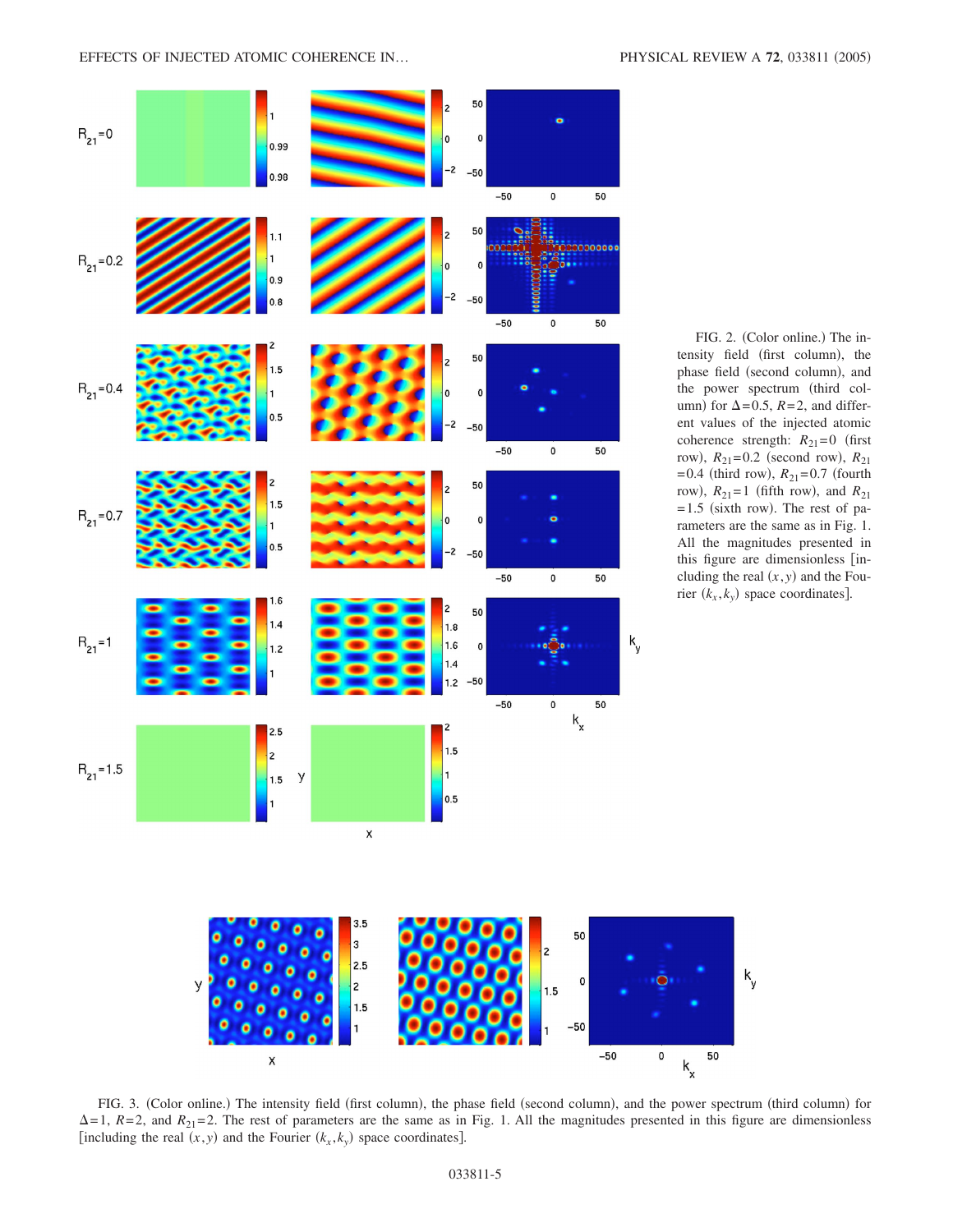

FIG. 2. (Color online.) The intensity field (first column), the phase field (second column), and the power spectrum (third column) for  $\Delta = 0.5$ ,  $R = 2$ , and different values of the injected atomic coherence strength:  $R_{21}=0$  (first row),  $R_{21} = 0.2$  (second row),  $R_{21}$  $= 0.4$  (third row),  $R_{21} = 0.7$  (fourth row),  $R_{21} = 1$  (fifth row), and  $R_{21}$  $= 1.5$  (sixth row). The rest of parameters are the same as in Fig. 1. All the magnitudes presented in this figure are dimensionless [including the real  $(x, y)$  and the Fourier  $(k_x, k_y)$  space coordinates].



FIG. 3. (Color online.) The intensity field (first column), the phase field (second column), and the power spectrum (third column) for  $\Delta = 1$ , *R*=2, and *R*<sub>21</sub>=2. The rest of parameters are the same as in Fig. 1. All the magnitudes presented in this figure are dimensionless [including the real  $(x, y)$  and the Fourier  $(k_x, k_y)$  space coordinates].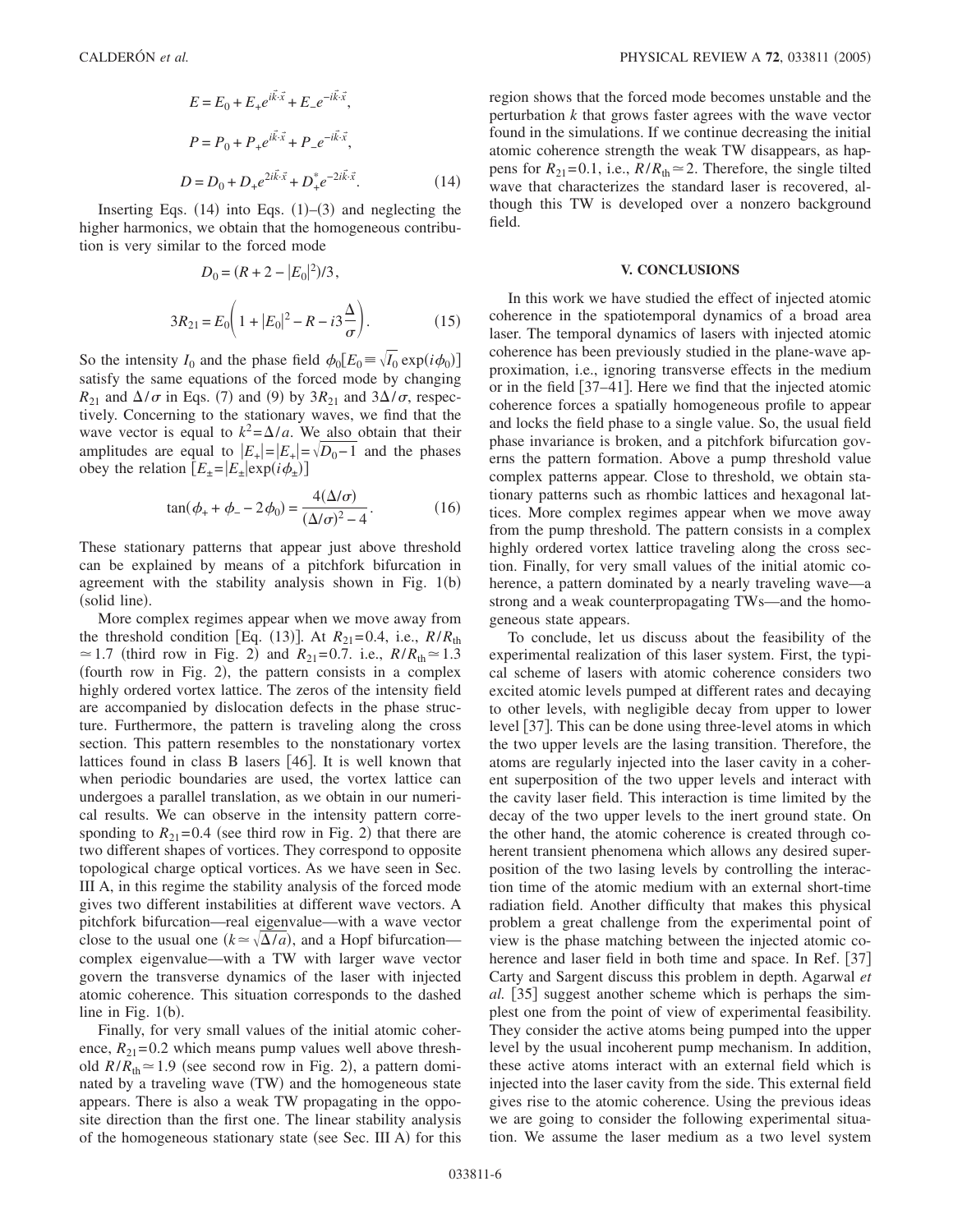$$
E = E_0 + E_+ e^{i\vec{k}\cdot\vec{x}} + E_- e^{-i\vec{k}\cdot\vec{x}},
$$
  
\n
$$
P = P_0 + P_+ e^{i\vec{k}\cdot\vec{x}} + P_- e^{-i\vec{k}\cdot\vec{x}},
$$
  
\n
$$
D = D_0 + D_+ e^{2i\vec{k}\cdot\vec{x}} + D_+^* e^{-2i\vec{k}\cdot\vec{x}}.
$$
 (14)

Inserting Eqs.  $(14)$  into Eqs.  $(1)$ – $(3)$  and neglecting the higher harmonics, we obtain that the homogeneous contribution is very similar to the forced mode

$$
D_0 = (R + 2 - |E_0|^2)/3,
$$
  

$$
3R_{21} = E_0 \left(1 + |E_0|^2 - R - i3\frac{\Delta}{\sigma}\right).
$$
 (15)

So the intensity  $I_0$  and the phase field  $\phi_0[E_0 = \sqrt{I_0} \exp(i\phi_0)]$ satisfy the same equations of the forced mode by changing  $R_{21}$  and  $\Delta/\sigma$  in Eqs. (7) and (9) by  $3R_{21}$  and  $3\Delta/\sigma$ , respectively. Concerning to the stationary waves, we find that the wave vector is equal to  $k^2 = \Delta/a$ . We also obtain that their amplitudes are equal to  $|E_{+}| = |E_{+}| = \sqrt{D_0 - 1}$  and the phases obey the relation  $[E_{\pm} = |E_{\pm}| \exp(i\phi_{\pm})]$ 

$$
\tan(\phi_{+} + \phi_{-} - 2\phi_{0}) = \frac{4(\Delta/\sigma)}{(\Delta/\sigma)^{2} - 4}.
$$
 (16)

These stationary patterns that appear just above threshold can be explained by means of a pitchfork bifurcation in agreement with the stability analysis shown in Fig.  $1(b)$ (solid line).

More complex regimes appear when we move away from the threshold condition [Eq. (13)]. At  $R_{21}=0.4$ , i.e.,  $R/R_{th}$  $\approx$  1.7 (third row in Fig. 2) and *R*<sub>21</sub>=0.7. i.e., *R*/*R*<sub>th</sub> $\approx$  1.3 (fourth row in Fig. 2), the pattern consists in a complex highly ordered vortex lattice. The zeros of the intensity field are accompanied by dislocation defects in the phase structure. Furthermore, the pattern is traveling along the cross section. This pattern resembles to the nonstationary vortex lattices found in class B lasers  $[46]$ . It is well known that when periodic boundaries are used, the vortex lattice can undergoes a parallel translation, as we obtain in our numerical results. We can observe in the intensity pattern corresponding to  $R_{21}$ =0.4 (see third row in Fig. 2) that there are two different shapes of vortices. They correspond to opposite topological charge optical vortices. As we have seen in Sec. III A, in this regime the stability analysis of the forced mode gives two different instabilities at different wave vectors. A pitchfork bifurcation—real eigenvalue—with a wave vector close to the usual one  $(k \approx \sqrt{\Delta/a})$ , and a Hopf bifurcation complex eigenvalue—with a TW with larger wave vector govern the transverse dynamics of the laser with injected atomic coherence. This situation corresponds to the dashed line in Fig.  $1(b)$ .

Finally, for very small values of the initial atomic coherence,  $R_{21}=0.2$  which means pump values well above threshold  $R/R<sub>th</sub> \approx 1.9$  (see second row in Fig. 2), a pattern dominated by a traveling wave (TW) and the homogeneous state appears. There is also a weak TW propagating in the opposite direction than the first one. The linear stability analysis of the homogeneous stationary state (see Sec. III A) for this

region shows that the forced mode becomes unstable and the perturbation *k* that grows faster agrees with the wave vector found in the simulations. If we continue decreasing the initial atomic coherence strength the weak TW disappears, as happens for  $R_{21}$ =0.1, i.e.,  $R/R_{\text{th}} \approx 2$ . Therefore, the single tilted wave that characterizes the standard laser is recovered, although this TW is developed over a nonzero background field.

#### **V. CONCLUSIONS**

In this work we have studied the effect of injected atomic coherence in the spatiotemporal dynamics of a broad area laser. The temporal dynamics of lasers with injected atomic coherence has been previously studied in the plane-wave approximation, i.e., ignoring transverse effects in the medium or in the field  $[37-41]$ . Here we find that the injected atomic coherence forces a spatially homogeneous profile to appear and locks the field phase to a single value. So, the usual field phase invariance is broken, and a pitchfork bifurcation governs the pattern formation. Above a pump threshold value complex patterns appear. Close to threshold, we obtain stationary patterns such as rhombic lattices and hexagonal lattices. More complex regimes appear when we move away from the pump threshold. The pattern consists in a complex highly ordered vortex lattice traveling along the cross section. Finally, for very small values of the initial atomic coherence, a pattern dominated by a nearly traveling wave—a strong and a weak counterpropagating TWs—and the homogeneous state appears.

To conclude, let us discuss about the feasibility of the experimental realization of this laser system. First, the typical scheme of lasers with atomic coherence considers two excited atomic levels pumped at different rates and decaying to other levels, with negligible decay from upper to lower level [37]. This can be done using three-level atoms in which the two upper levels are the lasing transition. Therefore, the atoms are regularly injected into the laser cavity in a coherent superposition of the two upper levels and interact with the cavity laser field. This interaction is time limited by the decay of the two upper levels to the inert ground state. On the other hand, the atomic coherence is created through coherent transient phenomena which allows any desired superposition of the two lasing levels by controlling the interaction time of the atomic medium with an external short-time radiation field. Another difficulty that makes this physical problem a great challenge from the experimental point of view is the phase matching between the injected atomic coherence and laser field in both time and space. In Ref. [37] Carty and Sargent discuss this problem in depth. Agarwal *et al.* [35] suggest another scheme which is perhaps the simplest one from the point of view of experimental feasibility. They consider the active atoms being pumped into the upper level by the usual incoherent pump mechanism. In addition, these active atoms interact with an external field which is injected into the laser cavity from the side. This external field gives rise to the atomic coherence. Using the previous ideas we are going to consider the following experimental situation. We assume the laser medium as a two level system